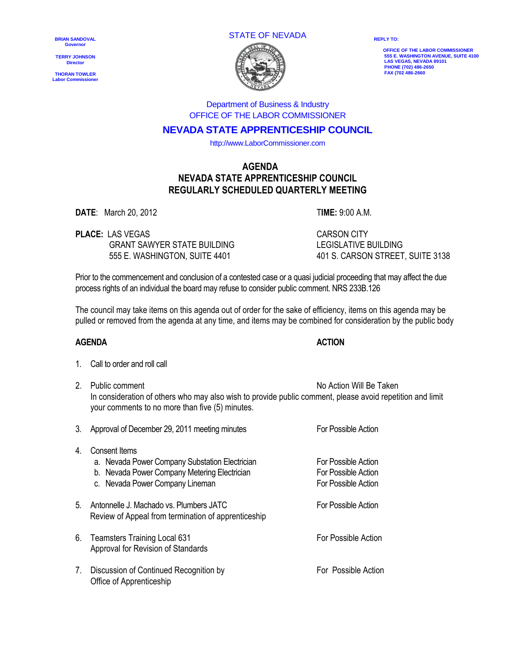**BRIAN SANDOVAL Governor**

**TERRY JOHNSON Director** 

**THORAN TOWLER Labor Commissioner** STATE OF NEVADA



**REPLY TO:**

 **OFFICE OF THE LABOR COMMISSIONER 555 E. WASHINGTON AVENUE, SUITE 4100 LAS VEGAS, NEVADA 89101 PHONE (702) 486-2650 FAX (702 486-2660**

Department of Business & Industry OFFICE OF THE LABOR COMMISSIONER

# **NEVADA STATE APPRENTICESHIP COUNCIL**

http://www.LaborCommissioner.com

## **AGENDA NEVADA STATE APPRENTICESHIP COUNCIL REGULARLY SCHEDULED QUARTERLY MEETING**

**DATE**: March 20, 2012 T**IME:** 9:00 A.M.

**PLACE:** LAS VEGAS CARSON CITY GRANT SAWYER STATE BUILDING LEGISLATIVE BUILDING

555 E. WASHINGTON, SUITE 4401 401 S. CARSON STREET, SUITE 3138

Prior to the commencement and conclusion of a contested case or a quasi judicial proceeding that may affect the due process rights of an individual the board may refuse to consider public comment. NRS 233B.126

The council may take items on this agenda out of order for the sake of efficiency, items on this agenda may be pulled or removed from the agenda at any time, and items may be combined for consideration by the public body

## **AGENDA ACTION**

|  | 1. | Call to order and roll call |
|--|----|-----------------------------|
|--|----|-----------------------------|

2. Public comment No Action Will Be Taken In consideration of others who may also wish to provide public comment, please avoid repetition and limit your comments to no more than five (5) minutes.

| 3. | Approval of December 29, 2011 meeting minutes                                                                                                      | For Possible Action                                               |
|----|----------------------------------------------------------------------------------------------------------------------------------------------------|-------------------------------------------------------------------|
| 4. | Consent Items<br>a. Nevada Power Company Substation Electrician<br>b. Nevada Power Company Metering Electrician<br>c. Nevada Power Company Lineman | For Possible Action<br>For Possible Action<br>For Possible Action |
| 5. | Antonnelle J. Machado vs. Plumbers JATC<br>Review of Appeal from termination of apprenticeship                                                     | For Possible Action                                               |
| 6. | <b>Teamsters Training Local 631</b><br>Approval for Revision of Standards                                                                          | For Possible Action                                               |
| 7. | Discussion of Continued Recognition by<br>Office of Apprenticeship                                                                                 | For Possible Action                                               |